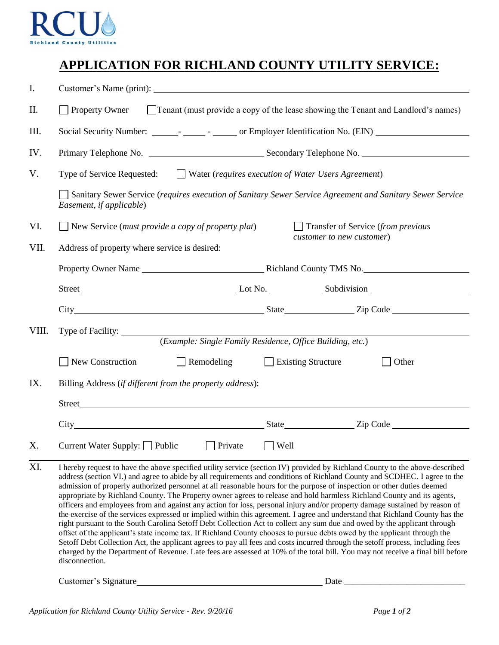

## **APPLICATION FOR RICHLAND COUNTY UTILITY SERVICE:**

| I.    |                                                                                                                                                                                                                                                                                                                                                                                                                                                                                                                                                                                                                                                                                                                                                                                                                                                                                                                                                                                                                                                                                                                                                                                                                                                                                                                                                            |                                    |  |  |  |  |  |
|-------|------------------------------------------------------------------------------------------------------------------------------------------------------------------------------------------------------------------------------------------------------------------------------------------------------------------------------------------------------------------------------------------------------------------------------------------------------------------------------------------------------------------------------------------------------------------------------------------------------------------------------------------------------------------------------------------------------------------------------------------------------------------------------------------------------------------------------------------------------------------------------------------------------------------------------------------------------------------------------------------------------------------------------------------------------------------------------------------------------------------------------------------------------------------------------------------------------------------------------------------------------------------------------------------------------------------------------------------------------------|------------------------------------|--|--|--|--|--|
| II.   | Property Owner<br>$\Box$ Tenant (must provide a copy of the lease showing the Tenant and Landlord's names)                                                                                                                                                                                                                                                                                                                                                                                                                                                                                                                                                                                                                                                                                                                                                                                                                                                                                                                                                                                                                                                                                                                                                                                                                                                 |                                    |  |  |  |  |  |
| III.  |                                                                                                                                                                                                                                                                                                                                                                                                                                                                                                                                                                                                                                                                                                                                                                                                                                                                                                                                                                                                                                                                                                                                                                                                                                                                                                                                                            |                                    |  |  |  |  |  |
| IV.   |                                                                                                                                                                                                                                                                                                                                                                                                                                                                                                                                                                                                                                                                                                                                                                                                                                                                                                                                                                                                                                                                                                                                                                                                                                                                                                                                                            |                                    |  |  |  |  |  |
| V.    | Type of Service Requested: ■ Water (requires execution of Water Users Agreement)                                                                                                                                                                                                                                                                                                                                                                                                                                                                                                                                                                                                                                                                                                                                                                                                                                                                                                                                                                                                                                                                                                                                                                                                                                                                           |                                    |  |  |  |  |  |
|       | Sanitary Sewer Service (requires execution of Sanitary Sewer Service Agreement and Sanitary Sewer Service<br>Easement, if applicable)                                                                                                                                                                                                                                                                                                                                                                                                                                                                                                                                                                                                                                                                                                                                                                                                                                                                                                                                                                                                                                                                                                                                                                                                                      |                                    |  |  |  |  |  |
| VI.   | $\Box$ New Service ( <i>must provide a copy of property plat</i> )                                                                                                                                                                                                                                                                                                                                                                                                                                                                                                                                                                                                                                                                                                                                                                                                                                                                                                                                                                                                                                                                                                                                                                                                                                                                                         | Transfer of Service (from previous |  |  |  |  |  |
| VII.  | Address of property where service is desired:                                                                                                                                                                                                                                                                                                                                                                                                                                                                                                                                                                                                                                                                                                                                                                                                                                                                                                                                                                                                                                                                                                                                                                                                                                                                                                              | customer to new customer)          |  |  |  |  |  |
|       |                                                                                                                                                                                                                                                                                                                                                                                                                                                                                                                                                                                                                                                                                                                                                                                                                                                                                                                                                                                                                                                                                                                                                                                                                                                                                                                                                            |                                    |  |  |  |  |  |
|       |                                                                                                                                                                                                                                                                                                                                                                                                                                                                                                                                                                                                                                                                                                                                                                                                                                                                                                                                                                                                                                                                                                                                                                                                                                                                                                                                                            |                                    |  |  |  |  |  |
|       |                                                                                                                                                                                                                                                                                                                                                                                                                                                                                                                                                                                                                                                                                                                                                                                                                                                                                                                                                                                                                                                                                                                                                                                                                                                                                                                                                            |                                    |  |  |  |  |  |
| VIII. | Type of Facility: $\qquad \qquad \qquad$                                                                                                                                                                                                                                                                                                                                                                                                                                                                                                                                                                                                                                                                                                                                                                                                                                                                                                                                                                                                                                                                                                                                                                                                                                                                                                                   |                                    |  |  |  |  |  |
|       | (Example: Single Family Residence, Office Building, etc.)                                                                                                                                                                                                                                                                                                                                                                                                                                                                                                                                                                                                                                                                                                                                                                                                                                                                                                                                                                                                                                                                                                                                                                                                                                                                                                  |                                    |  |  |  |  |  |
|       | New Construction<br>Remodeling                                                                                                                                                                                                                                                                                                                                                                                                                                                                                                                                                                                                                                                                                                                                                                                                                                                                                                                                                                                                                                                                                                                                                                                                                                                                                                                             | $\Box$ Existing Structure<br>Other |  |  |  |  |  |
| IX.   | Billing Address (if different from the property address):                                                                                                                                                                                                                                                                                                                                                                                                                                                                                                                                                                                                                                                                                                                                                                                                                                                                                                                                                                                                                                                                                                                                                                                                                                                                                                  |                                    |  |  |  |  |  |
|       |                                                                                                                                                                                                                                                                                                                                                                                                                                                                                                                                                                                                                                                                                                                                                                                                                                                                                                                                                                                                                                                                                                                                                                                                                                                                                                                                                            |                                    |  |  |  |  |  |
|       | City City Code 2 State 2 ip Code                                                                                                                                                                                                                                                                                                                                                                                                                                                                                                                                                                                                                                                                                                                                                                                                                                                                                                                                                                                                                                                                                                                                                                                                                                                                                                                           |                                    |  |  |  |  |  |
| Х.    | Current Water Supply: $\Box$ Public $\Box$ Private $\Box$ Well                                                                                                                                                                                                                                                                                                                                                                                                                                                                                                                                                                                                                                                                                                                                                                                                                                                                                                                                                                                                                                                                                                                                                                                                                                                                                             |                                    |  |  |  |  |  |
| XI.   | I hereby request to have the above specified utility service (section IV) provided by Richland County to the above-described<br>address (section VI.) and agree to abide by all requirements and conditions of Richland County and SCDHEC. I agree to the<br>admission of properly authorized personnel at all reasonable hours for the purpose of inspection or other duties deemed<br>appropriate by Richland County. The Property owner agrees to release and hold harmless Richland County and its agents,<br>officers and employees from and against any action for loss, personal injury and/or property damage sustained by reason of<br>the exercise of the services expressed or implied within this agreement. I agree and understand that Richland County has the<br>right pursuant to the South Carolina Setoff Debt Collection Act to collect any sum due and owed by the applicant through<br>offset of the applicant's state income tax. If Richland County chooses to pursue debts owed by the applicant through the<br>Setoff Debt Collection Act, the applicant agrees to pay all fees and costs incurred through the setoff process, including fees<br>charged by the Department of Revenue. Late fees are assessed at 10% of the total bill. You may not receive a final bill before<br>disconnection.<br>Customer's Signature<br>Date |                                    |  |  |  |  |  |